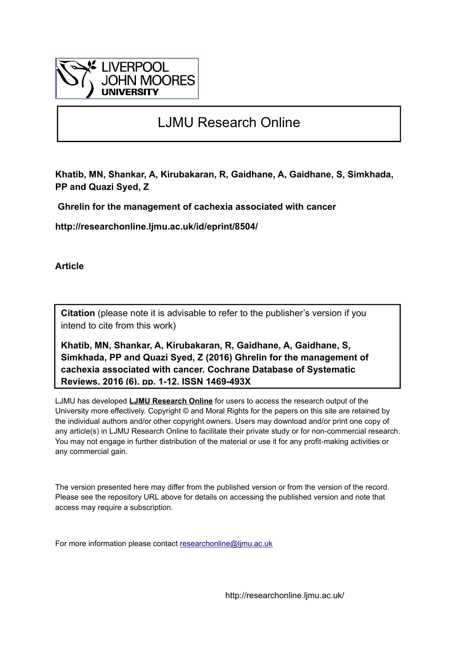

# LJMU Research Online

**Khatib, MN, Shankar, A, Kirubakaran, R, Gaidhane, A, Gaidhane, S, Simkhada, PP and Quazi Syed, Z**

 **Ghrelin for the management of cachexia associated with cancer**

**http://researchonline.ljmu.ac.uk/id/eprint/8504/**

**Article**

**Citation** (please note it is advisable to refer to the publisher's version if you intend to cite from this work)

**Khatib, MN, Shankar, A, Kirubakaran, R, Gaidhane, A, Gaidhane, S, Simkhada, PP and Quazi Syed, Z (2016) Ghrelin for the management of cachexia associated with cancer. Cochrane Database of Systematic Reviews, 2016 (6). pp. 1-12. ISSN 1469-493X** 

LJMU has developed **[LJMU Research Online](http://researchonline.ljmu.ac.uk/)** for users to access the research output of the University more effectively. Copyright © and Moral Rights for the papers on this site are retained by the individual authors and/or other copyright owners. Users may download and/or print one copy of any article(s) in LJMU Research Online to facilitate their private study or for non-commercial research. You may not engage in further distribution of the material or use it for any profit-making activities or any commercial gain.

The version presented here may differ from the published version or from the version of the record. Please see the repository URL above for details on accessing the published version and note that access may require a subscription.

For more information please contact [researchonline@ljmu.ac.uk](mailto:researchonline@ljmu.ac.uk)

http://researchonline.ljmu.ac.uk/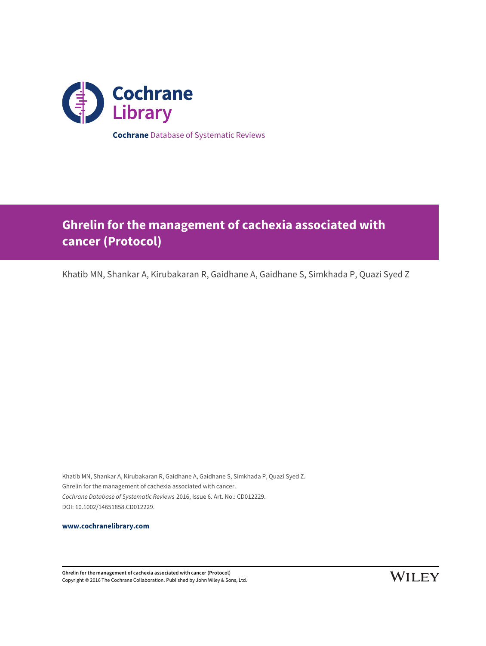

**Ghrelin for the management of cachexia associated with cancer (Protocol)**

Khatib MN, Shankar A, Kirubakaran R, Gaidhane A, Gaidhane S, Simkhada P, Quazi Syed Z

Khatib MN, Shankar A, Kirubakaran R, Gaidhane A, Gaidhane S, Simkhada P, Quazi Syed Z. Ghrelin for the management of cachexia associated with cancer. Cochrane Database of Systematic Reviews 2016, Issue 6. Art. No.: CD012229. DOI: 10.1002/14651858.CD012229.

**[www.cochranelibrary.com](http://www.cochranelibrary.com)**

**Ghrelin for the management of cachexia associated with cancer (Protocol)** Copyright © 2016 The Cochrane Collaboration. Published by John Wiley & Sons, Ltd.

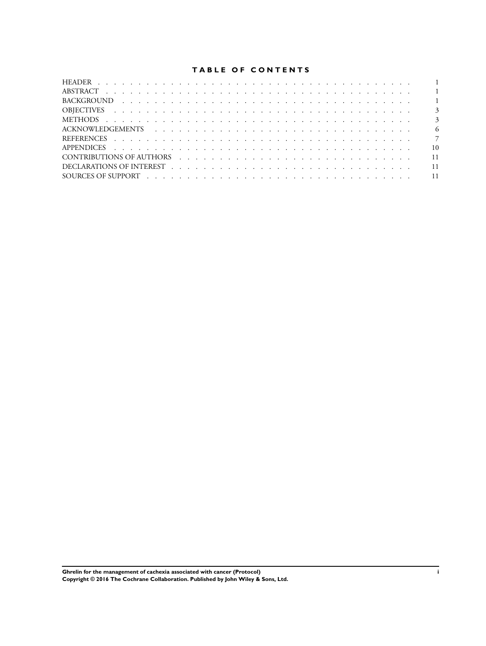# **TABLE OF CONTENTS**

| - 6             |
|-----------------|
|                 |
| $\overline{10}$ |
| 11              |
|                 |
|                 |
|                 |

**Ghrelin for the management of cachexia associated with cancer (Protocol) i Copyright © 2016 The Cochrane Collaboration. Published by John Wiley & Sons, Ltd.**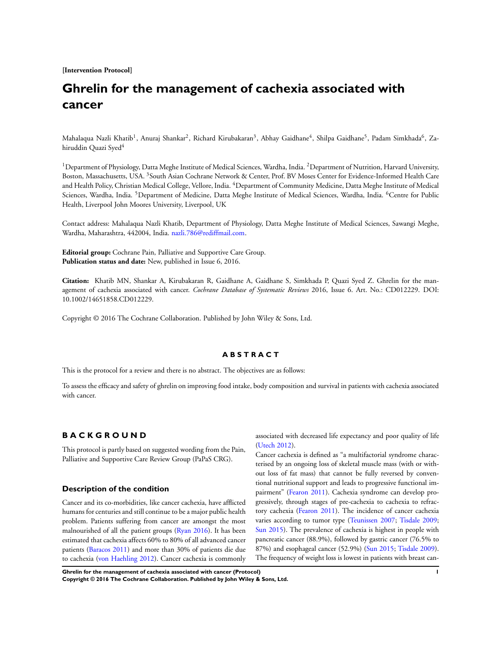**[Intervention Protocol]**

# **Ghrelin for the management of cachexia associated with cancer**

Mahalaqua Nazli Khatib<sup>1</sup>, Anuraj Shankar<sup>2</sup>, Richard Kirubakaran<sup>3</sup>, Abhay Gaidhane<sup>4</sup>, Shilpa Gaidhane<sup>5</sup>, Padam Simkhada<sup>6</sup>, Zahiruddin Quazi Syed<sup>4</sup>

<sup>1</sup>Department of Physiology, Datta Meghe Institute of Medical Sciences, Wardha, India. <sup>2</sup>Department of Nutrition, Harvard University, Boston, Massachusetts, USA. <sup>3</sup>South Asian Cochrane Network & Center, Prof. BV Moses Center for Evidence-Informed Health Care and Health Policy, Christian Medical College, Vellore, India. <sup>4</sup>Department of Community Medicine, Datta Meghe Institute of Medical Sciences, Wardha, India. <sup>5</sup>Department of Medicine, Datta Meghe Institute of Medical Sciences, Wardha, India. <sup>6</sup>Centre for Public Health, Liverpool John Moores University, Liverpool, UK

Contact address: Mahalaqua Nazli Khatib, Department of Physiology, Datta Meghe Institute of Medical Sciences, Sawangi Meghe, Wardha, Maharashtra, 442004, India. [nazli.786@rediffmail.com](mailto:nazli.786@rediffmail.com).

**Editorial group:** Cochrane Pain, Palliative and Supportive Care Group. **Publication status and date:** New, published in Issue 6, 2016.

**Citation:** Khatib MN, Shankar A, Kirubakaran R, Gaidhane A, Gaidhane S, Simkhada P, Quazi Syed Z. Ghrelin for the management of cachexia associated with cancer. *Cochrane Database of Systematic Reviews* 2016, Issue 6. Art. No.: CD012229. DOI: 10.1002/14651858.CD012229.

Copyright © 2016 The Cochrane Collaboration. Published by John Wiley & Sons, Ltd.

## **A B S T R A C T**

This is the protocol for a review and there is no abstract. The objectives are as follows:

To assess the efficacy and safety of ghrelin on improving food intake, body composition and survival in patients with cachexia associated with cancer.

# **B A C K G R O U N D**

This protocol is partly based on suggested wording from the Pain, Palliative and Supportive Care Review Group (PaPaS CRG).

## **Description of the condition**

Cancer and its co-morbidities, like cancer cachexia, have afflicted humans for centuries and still continue to be a major public health problem. Patients suffering from cancer are amongst the most malnourished of all the patient groups [\(Ryan 2016](#page-9-0)). It has been estimated that cachexia affects 60% to 80% of all advanced cancer patients ([Baracos 2011](#page-9-0)) and more than 30% of patients die due to cachexia [\(von Haehling 2012](#page-9-0)). Cancer cachexia is commonly associated with decreased life expectancy and poor quality of life [\(Utech 2012](#page-9-0)).

Cancer cachexia is defined as "a multifactorial syndrome characterised by an ongoing loss of skeletal muscle mass (with or without loss of fat mass) that cannot be fully reversed by conventional nutritional support and leads to progressive functional impairment" [\(Fearon 2011](#page-9-0)). Cachexia syndrome can develop progressively, through stages of pre-cachexia to cachexia to refractory cachexia ([Fearon 2011](#page-9-0)). The incidence of cancer cachexia varies according to tumor type ([Teunissen 2007](#page-9-0); [Tisdale 2009;](#page-9-0) [Sun 2015](#page-9-0)). The prevalence of cachexia is highest in people with pancreatic cancer (88.9%), followed by gastric cancer (76.5% to 87%) and esophageal cancer (52.9%) [\(Sun 2015](#page-9-0); [Tisdale 2009](#page-9-0)). The frequency of weight loss is lowest in patients with breast can-

**Ghrelin for the management of cachexia associated with cancer (Protocol) 1 Copyright © 2016 The Cochrane Collaboration. Published by John Wiley & Sons, Ltd.**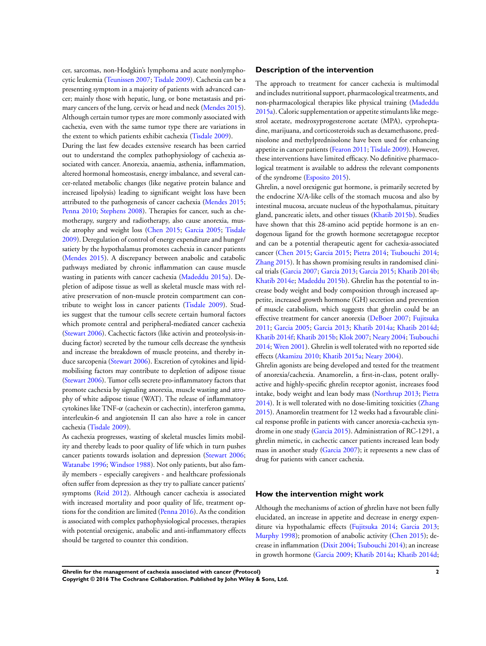cer, sarcomas, non-Hodgkin's lymphoma and acute nonlymphocytic leukemia [\(Teunissen 2007](#page-9-0); [Tisdale 2009](#page-9-0)). Cachexia can be a presenting symptom in a majority of patients with advanced cancer; mainly those with hepatic, lung, or bone metastasis and primary cancers of the lung, cervix or head and neck ([Mendes 2015](#page-9-0)). Although certain tumor types are more commonly associated with cachexia, even with the same tumor type there are variations in the extent to which patients exhibit cachexia [\(Tisdale 2009](#page-9-0)). During the last few decades extensive research has been carried out to understand the complex pathophysiology of cachexia associated with cancer. Anorexia, anaemia, asthenia, inflammation, altered hormonal homeostasis, energy imbalance, and several cancer-related metabolic changes (like negative protein balance and increased lipolysis) leading to significant weight loss have been attributed to the pathogenesis of cancer cachexia [\(Mendes 2015;](#page-9-0) [Penna 2010](#page-9-0); [Stephens 2008\)](#page-9-0). Therapies for cancer, such as chemotherapy, surgery and radiotherapy, also cause anorexia, muscle atrophy and weight loss ([Chen 2015](#page-9-0); [Garcia 2005;](#page-9-0) [Tisdale](#page-9-0) [2009](#page-9-0)). Deregulation of control of energy expenditure and hunger/ satiety by the hypothalamus promotes cachexia in cancer patients [\(Mendes 2015\)](#page-9-0). A discrepancy between anabolic and catabolic pathways mediated by chronic inflammation can cause muscle wasting in patients with cancer cachexia [\(Madeddu 2015a](#page-9-0)). Depletion of adipose tissue as well as skeletal muscle mass with relative preservation of non-muscle protein compartment can contribute to weight loss in cancer patients [\(Tisdale 2009](#page-9-0)). Studies suggest that the tumour cells secrete certain humoral factors which promote central and peripheral-mediated cancer cachexia [\(Stewart 2006](#page-9-0)). Cachectic factors (like activin and proteolysis-inducing factor) secreted by the tumour cells decrease the synthesis and increase the breakdown of muscle proteins, and thereby induce sarcopenia ([Stewart 2006\)](#page-9-0). Excretion of cytokines and lipidmobilising factors may contribute to depletion of adipose tissue [\(Stewart 2006\)](#page-9-0). Tumor cells secrete pro-inflammatory factors that promote cachexia by signaling anorexia, muscle wasting and atrophy of white adipose tissue (WAT). The release of inflammatory cytokines like TNF-α (cachexin or cachectin), interferon gamma, interleukin-6 and angiotensin II can also have a role in cancer cachexia [\(Tisdale 2009](#page-9-0)).

As cachexia progresses, wasting of skeletal muscles limits mobility and thereby leads to poor quality of life which in turn pushes cancer patients towards isolation and depression [\(Stewart 2006;](#page-9-0) [Watanabe 1996](#page-9-0); [Windsor 1988\)](#page-9-0). Not only patients, but also family members - especially caregivers - and healthcare professionals often suffer from depression as they try to palliate cancer patients' symptoms [\(Reid 2012\)](#page-9-0). Although cancer cachexia is associated with increased mortality and poor quality of life, treatment options for the condition are limited ([Penna 2016](#page-9-0)). As the condition is associated with complex pathophysiological processes, therapies with potential orexigenic, anabolic and anti-inflammatory effects should be targeted to counter this condition.

## **Description of the intervention**

The approach to treatment for cancer cachexia is multimodal and includes nutritional support, pharmacological treatments, and non-pharmacological therapies like physical training ([Madeddu](#page-9-0) [2015a\)](#page-9-0). Caloric supplementation or appetite stimulants like megestrol acetate, medroxyprogesterone acetate (MPA), cyproheptadine, marijuana, and corticosteroids such as dexamethasone, prednisolone and methylprednisolone have been used for enhancing appetite in cancer patients ([Fearon 2011](#page-9-0); [Tisdale 2009](#page-9-0)). However, these interventions have limited efficacy. No definitive pharmacological treatment is available to address the relevant components of the syndrome ([Esposito 2015\)](#page-9-0).

Ghrelin, a novel orexigenic gut hormone, is primarily secreted by the endocrine X/A-like cells of the stomach mucosa and also by intestinal mucosa, arcuate nucleus of the hypothalamus, pituitary gland, pancreatic islets, and other tissues ([Khatib 2015b](#page-9-0)). Studies have shown that this 28-amino acid peptide hormone is an endogenous ligand for the growth hormone secretagogue receptor and can be a potential therapeutic agent for cachexia-associated cancer ([Chen 2015;](#page-9-0) [Garcia 2015;](#page-9-0) [Pietra 2014](#page-9-0); [Tsubouchi 2014;](#page-9-0) [Zhang 2015\)](#page-9-0). It has shown promising results in randomised clinical trials [\(Garcia 2007](#page-9-0); [Garcia 2013](#page-9-0); [Garcia 2015](#page-9-0); [Khatib 2014b;](#page-9-0) [Khatib 2014e;](#page-9-0) [Madeddu 2015b](#page-9-0)). Ghrelin has the potential to increase body weight and body composition through increased appetite, increased growth hormone (GH) secretion and prevention of muscle catabolism, which suggests that ghrelin could be an effective treatment for cancer anorexia [\(DeBoer 2007](#page-9-0); [Fujitsuka](#page-9-0) [2011](#page-9-0); [Garcia 2005;](#page-9-0) [Garcia 2013](#page-9-0); [Khatib 2014a;](#page-9-0) [Khatib 2014d;](#page-9-0) [Khatib 2014f](#page-9-0); [Khatib 2015b;](#page-9-0) [Klok 2007;](#page-9-0) [Neary 2004;](#page-9-0) [Tsubouchi](#page-9-0) [2014](#page-9-0); [Wren 2001](#page-9-0)). Ghrelin is well tolerated with no reported side effects ([Akamizu 2010](#page-9-0); [Khatib 2015a](#page-9-0); [Neary 2004](#page-9-0)).

Ghrelin agonists are being developed and tested for the treatment of anorexia/cachexia. Anamorelin, a first-in-class, potent orallyactive and highly-specific ghrelin receptor agonist, increases food intake, body weight and lean body mass [\(Northrup 2013](#page-9-0); [Pietra](#page-9-0) [2014](#page-9-0)). It is well tolerated with no dose-limiting toxicities [\(Zhang](#page-9-0) [2015](#page-9-0)). Anamorelin treatment for 12 weeks had a favourable clinical response profile in patients with cancer anorexia-cachexia syndrome in one study [\(Garcia 2015](#page-9-0)). Administration of RC-1291, a ghrelin mimetic, in cachectic cancer patients increased lean body mass in another study [\(Garcia 2007](#page-9-0)); it represents a new class of drug for patients with cancer cachexia.

## **How the intervention might work**

Although the mechanisms of action of ghrelin have not been fully elucidated, an increase in appetite and decrease in energy expenditure via hypothalamic effects [\(Fujitsuka 2014](#page-9-0); [Garcia 2013;](#page-9-0) [Murphy 1998](#page-9-0)); promotion of anabolic activity [\(Chen 2015\)](#page-9-0); decrease in inflammation ([Dixit 2004;](#page-9-0) [Tsubouchi 2014](#page-9-0)); an increase in growth hormone ([Garcia 2009;](#page-9-0) [Khatib 2014a](#page-9-0); [Khatib 2014d;](#page-9-0)

**Ghrelin for the management of cachexia associated with cancer (Protocol) 2 Copyright © 2016 The Cochrane Collaboration. Published by John Wiley & Sons, Ltd.**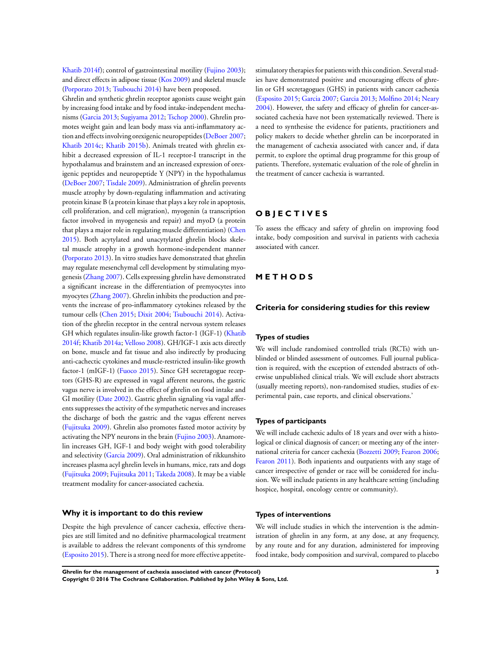[Khatib 2014f\)](#page-9-0); control of gastrointestinal motility [\(Fujino 2003](#page-9-0)); and direct effects in adipose tissue [\(Kos 2009](#page-9-0)) and skeletal muscle [\(Porporato 2013;](#page-9-0) [Tsubouchi 2014](#page-9-0)) have been proposed.

Ghrelin and synthetic ghrelin receptor agonists cause weight gain by increasing food intake and by food intake-independent mechanisms ([Garcia 2013;](#page-9-0) [Sugiyama 2012](#page-9-0); [Tschop 2000](#page-9-0)). Ghrelin promotes weight gain and lean body mass via anti-inflammatory action and effects involving orexigenic neuropeptides [\(DeBoer 2007;](#page-9-0) [Khatib 2014c;](#page-9-0) [Khatib 2015b](#page-9-0)). Animals treated with ghrelin exhibit a decreased expression of IL-1 receptor-I transcript in the hypothalamus and brainstem and an increased expression of orexigenic peptides and neuropeptide Y (NPY) in the hypothalamus [\(DeBoer 2007](#page-9-0); [Tisdale 2009\)](#page-9-0). Administration of ghrelin prevents muscle atrophy by down-regulating inflammation and activating protein kinase B (a protein kinase that plays a key role in apoptosis, cell proliferation, and cell migration), myogenin (a transcription factor involved in myogenesis and repair) and myoD (a protein that plays a major role in regulating muscle differentiation) ([Chen](#page-9-0) [2015](#page-9-0)). Both acytylated and unacytylated ghrelin blocks skeletal muscle atrophy in a growth hormone-independent manner [\(Porporato 2013\)](#page-9-0). In vitro studies have demonstrated that ghrelin may regulate mesenchymal cell development by stimulating myogenesis ([Zhang 2007](#page-9-0)). Cells expressing ghrelin have demonstrated a significant increase in the differentiation of premyocytes into myocytes ([Zhang 2007\)](#page-9-0). Ghrelin inhibits the production and prevents the increase of pro-inflammatory cytokines released by the tumour cells ([Chen 2015](#page-9-0); [Dixit 2004;](#page-9-0) [Tsubouchi 2014](#page-9-0)). Activation of the ghrelin receptor in the central nervous system releases GH which regulates insulin-like growth factor-1 (IGF-1) [\(Khatib](#page-9-0) [2014f;](#page-9-0) [Khatib 2014a;](#page-9-0) [Velloso 2008\)](#page-9-0). GH/IGF-1 axis acts directly on bone, muscle and fat tissue and also indirectly by producing anti-cachectic cytokines and muscle-restricted insulin-like growth factor-1 (mIGF-1) [\(Fuoco 2015\)](#page-9-0). Since GH secretagogue receptors (GHS-R) are expressed in vagal afferent neurons, the gastric vagus nerve is involved in the effect of ghrelin on food intake and GI motility ([Date 2002\)](#page-9-0). Gastric ghrelin signaling via vagal afferents suppresses the activity of the sympathetic nerves and increases the discharge of both the gastric and the vagus efferent nerves [\(Fujitsuka 2009\)](#page-9-0). Ghrelin also promotes fasted motor activity by activating the NPY neurons in the brain ([Fujino 2003\)](#page-9-0). Anamorelin increases GH, IGF-1 and body weight with good tolerability and selectivity [\(Garcia 2009](#page-9-0)). Oral administration of rikkunshito increases plasma acyl ghrelin levels in humans, mice, rats and dogs [\(Fujitsuka 2009;](#page-9-0) [Fujitsuka 2011;](#page-9-0) [Takeda 2008](#page-9-0)). It may be a viable treatment modality for cancer-associated cachexia.

## **Why it is important to do this review**

Despite the high prevalence of cancer cachexia, effective therapies are still limited and no definitive pharmacological treatment is available to address the relevant components of this syndrome [\(Esposito 2015](#page-9-0)). There is a strong need for more effective appetite-

stimulatory therapies for patients with this condition. Several studies have demonstrated positive and encouraging effects of ghrelin or GH secretagogues (GHS) in patients with cancer cachexia [\(Esposito 2015;](#page-9-0) [Garcia 2007;](#page-9-0) [Garcia 2013;](#page-9-0) [Molfino 2014;](#page-9-0) [Neary](#page-9-0) [2004](#page-9-0)). However, the safety and efficacy of ghrelin for cancer-associated cachexia have not been systematically reviewed. There is a need to synthesise the evidence for patients, practitioners and policy makers to decide whether ghrelin can be incorporated in the management of cachexia associated with cancer and, if data permit, to explore the optimal drug programme for this group of patients. Therefore, systematic evaluation of the role of ghrelin in the treatment of cancer cachexia is warranted.

# **O B J E C T I V E S**

To assess the efficacy and safety of ghrelin on improving food intake, body composition and survival in patients with cachexia associated with cancer.

# **M E T H O D S**

## **Criteria for considering studies for this review**

#### **Types of studies**

We will include randomised controlled trials (RCTs) with unblinded or blinded assessment of outcomes. Full journal publication is required, with the exception of extended abstracts of otherwise unpublished clinical trials. We will exclude short abstracts (usually meeting reports), non-randomised studies, studies of experimental pain, case reports, and clinical observations.'

#### **Types of participants**

We will include cachexic adults of 18 years and over with a histological or clinical diagnosis of cancer; or meeting any of the international criteria for cancer cachexia ([Bozzetti 2009;](#page-9-0) [Fearon 2006;](#page-9-0) [Fearon 2011](#page-9-0)). Both inpatients and outpatients with any stage of cancer irrespective of gender or race will be considered for inclusion. We will include patients in any healthcare setting (including hospice, hospital, oncology centre or community).

#### **Types of interventions**

We will include studies in which the intervention is the administration of ghrelin in any form, at any dose, at any frequency, by any route and for any duration, administered for improving food intake, body composition and survival, compared to placebo

**Ghrelin for the management of cachexia associated with cancer (Protocol) 3 Copyright © 2016 The Cochrane Collaboration. Published by John Wiley & Sons, Ltd.**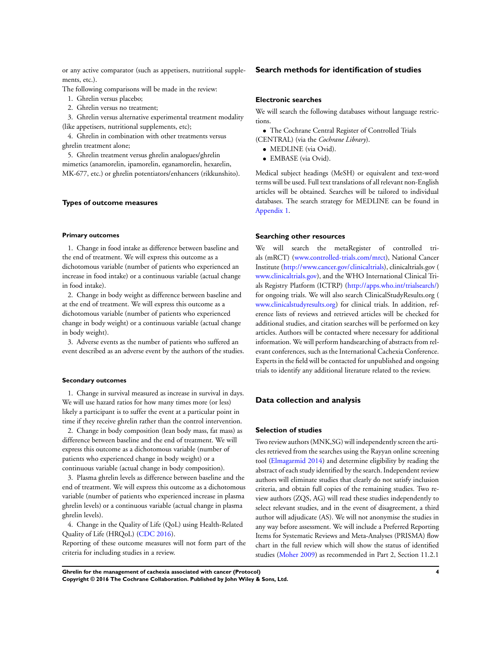or any active comparator (such as appetisers, nutritional supplements, etc.).

The following comparisons will be made in the review:

- 1. Ghrelin versus placebo;
- 2. Ghrelin versus no treatment;

3. Ghrelin versus alternative experimental treatment modality (like appetisers, nutritional supplements, etc);

4. Ghrelin in combination with other treatments versus ghrelin treatment alone;

5. Ghrelin treatment versus ghrelin analogues/ghrelin mimetics (anamorelin, ipamorelin, eganamorelin, hexarelin, MK-677, etc.) or ghrelin potentiators/enhancers (rikkunshito).

## **Types of outcome measures**

## **Primary outcomes**

1. Change in food intake as difference between baseline and the end of treatment. We will express this outcome as a dichotomous variable (number of patients who experienced an increase in food intake) or a continuous variable (actual change in food intake).

2. Change in body weight as difference between baseline and at the end of treatment. We will express this outcome as a dichotomous variable (number of patients who experienced change in body weight) or a continuous variable (actual change in body weight).

3. Adverse events as the number of patients who suffered an event described as an adverse event by the authors of the studies.

#### **Secondary outcomes**

1. Change in survival measured as increase in survival in days. We will use hazard ratios for how many times more (or less) likely a participant is to suffer the event at a particular point in time if they receive ghrelin rather than the control intervention.

2. Change in body composition (lean body mass, fat mass) as difference between baseline and the end of treatment. We will express this outcome as a dichotomous variable (number of patients who experienced change in body weight) or a continuous variable (actual change in body composition).

3. Plasma ghrelin levels as difference between baseline and the end of treatment. We will express this outcome as a dichotomous variable (number of patients who experienced increase in plasma ghrelin levels) or a continuous variable (actual change in plasma ghrelin levels).

4. Change in the Quality of Life (QoL) using Health-Related Quality of Life (HRQoL) [\(CDC 2016\)](#page-9-0).

Reporting of these outcome measures will not form part of the criteria for including studies in a review.

## **Search methods for identification of studies**

## **Electronic searches**

We will search the following databases without language restrictions.

• The Cochrane Central Register of Controlled Trials (CENTRAL) (via the *Cochrane Library*).

- MEDLINE (via Ovid).
- EMBASE (via Ovid).

Medical subject headings (MeSH) or equivalent and text-word terms will be used. Full text translations of all relevant non-English articles will be obtained. Searches will be tailored to individual databases. The search strategy for MEDLINE can be found in [Appendix 1.](#page-12-0)

#### **Searching other resources**

We will search the metaRegister of controlled trials (mRCT) ([www.controlled-trials.com/mrct](http://www.controlled-trials.com/mrct)), National Cancer Institute ([http://www.cancer.gov/clinicaltrials\)](http://www.cancer.gov/clinicaltrials), clinicaltrials.gov ( [www.clinicaltrials.gov](http://www.clinicaltrials.gov)), and the WHO International Clinical Trials Registry Platform (ICTRP) (<http://apps.who.int/trialsearch/>) for ongoing trials. We will also search ClinicalStudyResults.org ( [www.clinicalstudyresults.org\)](http://www.clinicalstudyresults.org) for clinical trials. In addition, reference lists of reviews and retrieved articles will be checked for additional studies, and citation searches will be performed on key articles. Authors will be contacted where necessary for additional information. We will perform handsearching of abstracts from relevant conferences, such as the International Cachexia Conference. Experts in the field will be contacted for unpublished and ongoing trials to identify any additional literature related to the review.

## **Data collection and analysis**

#### **Selection of studies**

Two review authors (MNK,SG) will independently screen the articles retrieved from the searches using the Rayyan online screening tool [\(Elmagarmid 2014](#page-9-0)) and determine eligibility by reading the abstract of each study identified by the search. Independent review authors will eliminate studies that clearly do not satisfy inclusion criteria, and obtain full copies of the remaining studies. Two review authors (ZQS, AG) will read these studies independently to select relevant studies, and in the event of disagreement, a third author will adjudicate (AS). We will not anonymise the studies in any way before assessment. We will include a Preferred Reporting Items for Systematic Reviews and Meta-Analyses (PRISMA) flow chart in the full review which will show the status of identified studies [\(Moher 2009](#page-9-0)) as recommended in Part 2, Section 11.2.1

**Ghrelin for the management of cachexia associated with cancer (Protocol) 4 Copyright © 2016 The Cochrane Collaboration. Published by John Wiley & Sons, Ltd.**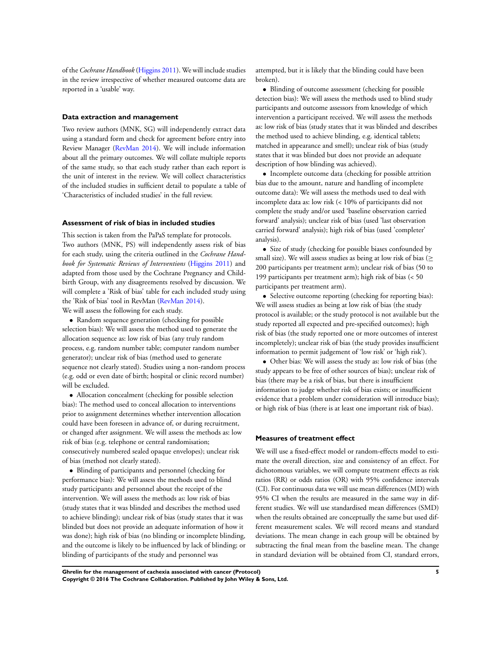of the *Cochrane Handbook* [\(Higgins 2011](#page-9-0)). We will include studies in the review irrespective of whether measured outcome data are reported in a 'usable' way.

#### **Data extraction and management**

Two review authors (MNK, SG) will independently extract data using a standard form and check for agreement before entry into Review Manager ([RevMan 2014\)](#page-9-0). We will include information about all the primary outcomes. We will collate multiple reports of the same study, so that each study rather than each report is the unit of interest in the review. We will collect characteristics of the included studies in sufficient detail to populate a table of 'Characteristics of included studies' in the full review.

## **Assessment of risk of bias in included studies**

This section is taken from the PaPaS template for protocols. Two authors (MNK, PS) will independently assess risk of bias for each study, using the criteria outlined in the *Cochrane Handbook for Systematic Reviews of Interventions* [\(Higgins 2011](#page-9-0)) and adapted from those used by the Cochrane Pregnancy and Childbirth Group, with any disagreements resolved by discussion. We will complete a 'Risk of bias' table for each included study using the 'Risk of bias' tool in RevMan ([RevMan 2014\)](#page-9-0).

We will assess the following for each study.

• Random sequence generation (checking for possible selection bias): We will assess the method used to generate the allocation sequence as: low risk of bias (any truly random process, e.g. random number table; computer random number generator); unclear risk of bias (method used to generate sequence not clearly stated). Studies using a non-random process (e.g. odd or even date of birth; hospital or clinic record number) will be excluded.

• Allocation concealment (checking for possible selection bias): The method used to conceal allocation to interventions prior to assignment determines whether intervention allocation could have been foreseen in advance of, or during recruitment, or changed after assignment. We will assess the methods as: low risk of bias (e.g. telephone or central randomisation; consecutively numbered sealed opaque envelopes); unclear risk of bias (method not clearly stated).

• Blinding of participants and personnel (checking for performance bias): We will assess the methods used to blind study participants and personnel about the receipt of the intervention. We will assess the methods as: low risk of bias (study states that it was blinded and describes the method used to achieve blinding); unclear risk of bias (study states that it was blinded but does not provide an adequate information of how it was done); high risk of bias (no blinding or incomplete blinding, and the outcome is likely to be influenced by lack of blinding; or blinding of participants of the study and personnel was

attempted, but it is likely that the blinding could have been broken).

• Blinding of outcome assessment (checking for possible detection bias): We will assess the methods used to blind study participants and outcome assessors from knowledge of which intervention a participant received. We will assess the methods as: low risk of bias (study states that it was blinded and describes the method used to achieve blinding, e.g. identical tablets; matched in appearance and smell); unclear risk of bias (study states that it was blinded but does not provide an adequate description of how blinding was achieved).

• Incomplete outcome data (checking for possible attrition bias due to the amount, nature and handling of incomplete outcome data): We will assess the methods used to deal with incomplete data as: low risk (< 10% of participants did not complete the study and/or used 'baseline observation carried forward' analysis); unclear risk of bias (used 'last observation carried forward' analysis); high risk of bias (used 'completer' analysis).

• Size of study (checking for possible biases confounded by small size). We will assess studies as being at low risk of bias ( $\geq$ 200 participants per treatment arm); unclear risk of bias (50 to 199 participants per treatment arm); high risk of bias (< 50 participants per treatment arm).

• Selective outcome reporting (checking for reporting bias): We will assess studies as being at low risk of bias (the study protocol is available; or the study protocol is not available but the study reported all expected and pre-specified outcomes); high risk of bias (the study reported one or more outcomes of interest incompletely); unclear risk of bias (the study provides insufficient information to permit judgement of 'low risk' or 'high risk').

• Other bias: We will assess the study as: low risk of bias (the study appears to be free of other sources of bias); unclear risk of bias (there may be a risk of bias, but there is insufficient information to judge whether risk of bias exists; or insufficient evidence that a problem under consideration will introduce bias); or high risk of bias (there is at least one important risk of bias).

#### **Measures of treatment effect**

We will use a fixed-effect model or random-effects model to estimate the overall direction, size and consistency of an effect. For dichotomous variables, we will compute treatment effects as risk ratios (RR) or odds ratios (OR) with 95% confidence intervals (CI). For continuous data we will use mean differences (MD) with 95% CI when the results are measured in the same way in different studies. We will use standardised mean differences (SMD) when the results obtained are conceptually the same but used different measurement scales. We will record means and standard deviations. The mean change in each group will be obtained by subtracting the final mean from the baseline mean. The change in standard deviation will be obtained from CI, standard errors,

**Ghrelin for the management of cachexia associated with cancer (Protocol) 5 Copyright © 2016 The Cochrane Collaboration. Published by John Wiley & Sons, Ltd.**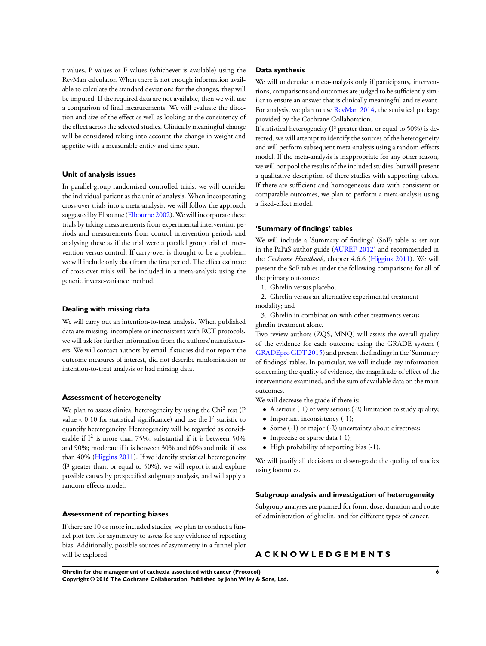t values, P values or F values (whichever is available) using the RevMan calculator. When there is not enough information available to calculate the standard deviations for the changes, they will be imputed. If the required data are not available, then we will use a comparison of final measurements. We will evaluate the direction and size of the effect as well as looking at the consistency of the effect across the selected studies. Clinically meaningful change will be considered taking into account the change in weight and appetite with a measurable entity and time span.

#### **Unit of analysis issues**

In parallel-group randomised controlled trials, we will consider the individual patient as the unit of analysis. When incorporating cross-over trials into a meta-analysis, we will follow the approach suggested by Elbourne ([Elbourne 2002\)](#page-9-0). We will incorporate these trials by taking measurements from experimental intervention periods and measurements from control intervention periods and analysing these as if the trial were a parallel group trial of intervention versus control. If carry-over is thought to be a problem, we will include only data from the first period. The effect estimate of cross-over trials will be included in a meta-analysis using the generic inverse-variance method.

#### **Dealing with missing data**

We will carry out an intention-to-treat analysis. When published data are missing, incomplete or inconsistent with RCT protocols, we will ask for further information from the authors/manufacturers. We will contact authors by email if studies did not report the outcome measures of interest, did not describe randomisation or intention-to-treat analysis or had missing data.

#### **Assessment of heterogeneity**

We plan to assess clinical heterogeneity by using the Chi<sup>2</sup> test (P value < 0.10 for statistical significance) and use the  $I^2$  statistic to quantify heterogeneity. Heterogeneity will be regarded as considerable if  $I^2$  is more than 75%; substantial if it is between 50% and 90%; moderate if it is between 30% and 60% and mild if less than 40% [\(Higgins 2011\)](#page-9-0). If we identify statistical heterogeneity (I² greater than, or equal to 50%), we will report it and explore possible causes by prespecified subgroup analysis, and will apply a random-effects model.

#### **Assessment of reporting biases**

If there are 10 or more included studies, we plan to conduct a funnel plot test for asymmetry to assess for any evidence of reporting bias. Additionally, possible sources of asymmetry in a funnel plot will be explored.

## **Data synthesis**

We will undertake a meta-analysis only if participants, interventions, comparisons and outcomes are judged to be sufficiently similar to ensure an answer that is clinically meaningful and relevant. For analysis, we plan to use [RevMan 2014](#page-9-0), the statistical package provided by the Cochrane Collaboration.

If statistical heterogeneity (I² greater than, or equal to 50%) is detected, we will attempt to identify the sources of the heterogeneity and will perform subsequent meta-analysis using a random-effects model. If the meta-analysis is inappropriate for any other reason, we will not pool the results of the included studies, but will present a qualitative description of these studies with supporting tables. If there are sufficient and homogeneous data with consistent or comparable outcomes, we plan to perform a meta-analysis using a fixed-effect model.

#### **'Summary of findings' tables**

We will include a 'Summary of findings' (SoF) table as set out in the PaPaS author guide ([AUREF 2012](#page-9-0)) and recommended in the *Cochrane Handbook*, chapter 4.6.6 [\(Higgins 2011\)](#page-9-0). We will present the SoF tables under the following comparisons for all of the primary outcomes:

1. Ghrelin versus placebo;

2. Ghrelin versus an alternative experimental treatment modality; and

3. Ghrelin in combination with other treatments versus ghrelin treatment alone.

Two review authors (ZQS, MNQ) will assess the overall quality of the evidence for each outcome using the GRADE system ( [GRADEpro GDT 2015\)](#page-9-0) and present the findings in the 'Summary of findings' tables. In particular, we will include key information concerning the quality of evidence, the magnitude of effect of the interventions examined, and the sum of available data on the main outcomes.

We will decrease the grade if there is:

- A serious (-1) or very serious (-2) limitation to study quality;
- Important inconsistency  $(-1)$ ;
- Some (-1) or major (-2) uncertainty about directness;
- Imprecise or sparse data (-1);
- High probability of reporting bias (-1).

We will justify all decisions to down-grade the quality of studies using footnotes.

#### **Subgroup analysis and investigation of heterogeneity**

Subgroup analyses are planned for form, dose, duration and route of administration of ghrelin, and for different types of cancer.

# **A C K N O W L E D G E M E N T S**

**Ghrelin for the management of cachexia associated with cancer (Protocol) 6 Copyright © 2016 The Cochrane Collaboration. Published by John Wiley & Sons, Ltd.**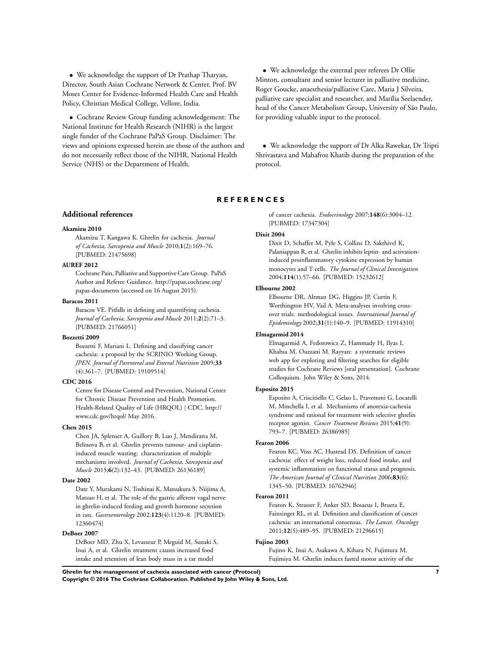<span id="page-9-0"></span>• We acknowledge the support of Dr Prathap Tharyan, Director, South Asian Cochrane Network & Center, Prof. BV Moses Center for Evidence-Informed Health Care and Health Policy, Christian Medical College, Vellore, India.

• Cochrane Review Group funding acknowledgement: The National Institute for Health Research (NIHR) is the largest single funder of the Cochrane PaPaS Group. Disclaimer: The views and opinions expressed herein are those of the authors and do not necessarily reflect those of the NIHR, National Health Service (NHS) or the Department of Health.

• We acknowledge the external peer referees Dr Ollie Minton, consultant and senior lecturer in palliative medicine, Roger Goucke, anaesthesia/palliative Care, Maria J Silveira, palliative care specialist and researcher, and Marília Seelaender, head of the Cancer Metabolism Group, University of São Paulo, for providing valuable input to the protocol.

• We acknowledge the support of Dr Alka Rawekar, Dr Tripti Shrivastava and Mahafroz Khatib during the preparation of the protocol.

# **R E F E R E N C E S**

#### **Additional references**

#### **Akamizu 2010**

Akamizu T, Kangawa K. Ghrelin for cachexia. *Journal of Cachexia, Sarcopenia and Muscle* 2010;**1**(2):169–76. [PUBMED: 21475698]

#### **AUREF 2012**

Cochrane Pain, Palliative and Supportive Care Group. PaPaS Author and Referee Guidance. http://papas.cochrane.org/ papas-documents (accessed on 16 August 2015).

#### **Baracos 2011**

Baracos VE. Pitfalls in defining and quantifying cachexia. *Journal of Cachexia, Sarcopenia and Muscle* 2011;**2**(2):71–3. [PUBMED: 21766051]

## **Bozzetti 2009**

Bozzetti F, Mariani L. Defining and classifying cancer cachexia: a proposal by the SCRINIO Working Group. *JPEN. Journal of Parenteral and Enteral Nutrition* 2009;**33** (4):361–7. [PUBMED: 19109514]

#### **CDC 2016**

Centre for Disease Control and Prevention, National Center for Chronic Disease Prevention and Health Promotion. Health-Related Quality of Life (HRQOL) | CDC. http:// www.cdc.gov/hrqol/ May 2016.

#### **Chen 2015**

Chen JA, Splenser A, Guillory B, Luo J, Mendiratta M, Belinova B, et al. Ghrelin prevents tumour- and cisplatininduced muscle wasting: characterization of multiple mechanisms involved. *Journal of Cachexia, Sarcopenia and Muscle* 2015;**6**(2):132–43. [PUBMED: 26136189]

## **Date 2002**

Date Y, Murakami N, Toshinai K, Matsukura S, Niijima A, Matsuo H, et al. The role of the gastric afferent vagal nerve in ghrelin-induced feeding and growth hormone secretion in rats. *Gastroenterology* 2002;**123**(4):1120–8. [PUBMED: 12360474]

#### **DeBoer 2007**

DeBoer MD, Zhu X, Levasseur P, Meguid M, Suzuki S, Inui A, et al. Ghrelin treatment causes increased food intake and retention of lean body mass in a rat model

of cancer cachexia. *Endocrinology* 2007;**148**(6):3004–12. [PUBMED: 17347304]

#### **Dixit 2004**

Dixit D, Schaffer M, Pyle S, Collins D, Sakthivel K, Palaniappan R, et al. Ghrelin inhibits leptin- and activationinduced proinflammatory cytokine expression by human monocytes and T cells. *The Journal of Clinical Investigation* 2004;**114**(1):57–66. [PUBMED: 15232612]

#### **Elbourne 2002**

Elbourne DR, Altman DG, Higgins JP, Curtin F, Worthington HV, Vail A. Meta-analyses involving crossover trials: methodological issues. *International Journal of Epidemiology* 2002;**31**(1):140–9. [PUBMED: 11914310]

## **Elmagarmid 2014**

Elmagarmid A, Fedorowicz Z, Hammady H, Ilyas I, Khabsa M, Ouzzani M. Rayyan: a systematic reviews web app for exploring and filtering searches for eligible studies for Cochrane Reviews [oral presentation]. Cochrane Colloquium. John Wiley & Sons, 2014.

## **Esposito 2015**

Esposito A, Criscitiello C, Gelao L, Pravettoni G, Locatelli M, Minchella I, et al. Mechanisms of anorexia-cachexia syndrome and rational for treatment with selective ghrelin receptor agonist. *Cancer Treatment Reviews* 2015;**41**(9): 793–7. [PUBMED: 26386985]

#### **Fearon 2006**

Fearon KC, Voss AC, Hustead DS. Definition of cancer cachexia: effect of weight loss, reduced food intake, and systemic inflammation on functional status and prognosis. *The American Journal of Clinical Nutrition* 2006;**83**(6): 1345–50. [PUBMED: 16762946]

## **Fearon 2011**

Fearon K, Strasser F, Anker SD, Bosaeus I, Bruera E, Fainsinger RL, et al. Definition and classification of cancer cachexia: an international consensus. *The Lancet. Oncology* 2011;**12**(5):489–95. [PUBMED: 21296615]

#### **Fujino 2003**

Fujino K, Inui A, Asakawa A, Kihara N, Fujimura M, Fujimiya M. Ghrelin induces fasted motor activity of the

**Ghrelin for the management of cachexia associated with cancer (Protocol) 7**

**Copyright © 2016 The Cochrane Collaboration. Published by John Wiley & Sons, Ltd.**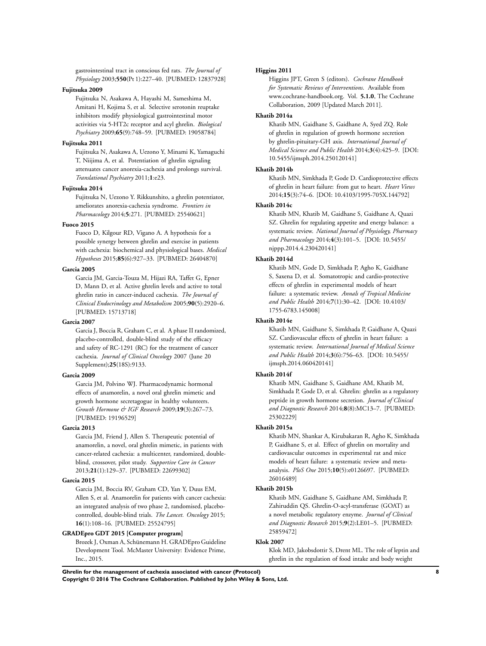gastrointestinal tract in conscious fed rats. *The Journal of Physiology* 2003;**550**(Pt 1):227–40. [PUBMED: 12837928]

## **Fujitsuka 2009**

Fujitsuka N, Asakawa A, Hayashi M, Sameshima M, Amitani H, Kojima S, et al. Selective serotonin reuptake inhibitors modify physiological gastrointestinal motor activities via 5-HT2c receptor and acyl ghrelin. *Biological Psychiatry* 2009;**65**(9):748–59. [PUBMED: 19058784]

#### **Fujitsuka 2011**

Fujitsuka N, Asakawa A, Uezono Y, Minami K, Yamaguchi T, Niijima A, et al. Potentiation of ghrelin signaling attenuates cancer anorexia-cachexia and prolongs survival. *Translational Psychiatry* 2011;**1**:e23.

## **Fujitsuka 2014**

Fujitsuka N, Uezono Y. Rikkunshito, a ghrelin potentiator, ameliorates anorexia-cachexia syndrome. *Frontiers in Pharmacology* 2014;**5**:271. [PUBMED: 25540621]

#### **Fuoco 2015**

Fuoco D, Kilgour RD, Vigano A. A hypothesis for a possible synergy between ghrelin and exercise in patients with cachexia: biochemical and physiological bases. *Medical Hypotheses* 2015;**85**(6):927–33. [PUBMED: 26404870]

#### **Garcia 2005**

Garcia JM, Garcia-Touza M, Hijazi RA, Taffet G, Epner D, Mann D, et al. Active ghrelin levels and active to total ghrelin ratio in cancer-induced cachexia. *The Journal of Clinical Endocrinology and Metabolism* 2005;**90**(5):2920–6. [PUBMED: 15713718]

#### **Garcia 2007**

Garcia J, Boccia R, Graham C, et al. A phase II randomized, placebo-controlled, double-blind study of the efficacy and safety of RC-1291 (RC) for the treatment of cancer cachexia. *Journal of Clinical Oncology* 2007 (June 20 Supplement);**25**(18S):9133.

#### **Garcia 2009**

Garcia JM, Polvino WJ. Pharmacodynamic hormonal effects of anamorelin, a novel oral ghrelin mimetic and growth hormone secretagogue in healthy volunteers. *Growth Hormone & IGF Research* 2009;**19**(3):267–73. [PUBMED: 19196529]

## **Garcia 2013**

Garcia JM, Friend J, Allen S. Therapeutic potential of anamorelin, a novel, oral ghrelin mimetic, in patients with cancer-related cachexia: a multicenter, randomized, doubleblind, crossover, pilot study. *Supportive Care in Cancer* 2013;**21**(1):129–37. [PUBMED: 22699302]

## **Garcia 2015**

Garcia JM, Boccia RV, Graham CD, Yan Y, Duus EM, Allen S, et al. Anamorelin for patients with cancer cachexia: an integrated analysis of two phase 2, randomised, placebocontrolled, double-blind trials. *The Lancet. Oncology* 2015; **16**(1):108–16. [PUBMED: 25524795]

#### **GRADEpro GDT 2015 [Computer program]**

Brozek J, Oxman A, Schünemann H. GRADEpro Guideline Development Tool. McMaster University: Evidence Prime, Inc., 2015.

#### **Higgins 2011**

Higgins JPT, Green S (editors). *Cochrane Handbook for Systematic Reviews of Interventions*. Available from www.cochrane-handbook.org. Vol. **5.1.0**, The Cochrane Collaboration, 2009 [Updated March 2011].

#### **Khatib 2014a**

Khatib MN, Gaidhane S, Gaidhane A, Syed ZQ. Role of ghrelin in regulation of growth hormone secretion by ghrelin-pituitary-GH axis. *International Journal of Medical Science and Public Health* 2014;**3**(4):425–9. [DOI: 10.5455/ijmsph.2014.250120141]

#### **Khatib 2014b**

Khatib MN, Simkhada P, Gode D. Cardioprotective effects of ghrelin in heart failure: from gut to heart. *Heart Views* 2014;**15**(3):74–6. [DOI: 10.4103/1995-705X.144792]

## **Khatib 2014c**

Khatib MN, Khatib M, Gaidhane S, Gaidhane A, Quazi SZ. Ghrelin for regulating appetite and energy balance: a systematic review. *National Journal of Physiology, Pharmacy and Pharmacology* 2014;**4**(3):101–5. [DOI: 10.5455/ njppp.2014.4.230420141]

## **Khatib 2014d**

Khatib MN, Gode D, Simkhada P, Agho K, Gaidhane S, Saxena D, et al. Somatotropic and cardio-protective effects of ghrelin in experimental models of heart failure: a systematic review. *Annals of Tropical Medicine and Public Health* 2014;**7**(1):30–42. [DOI: 10.4103/ 1755-6783.145008]

#### **Khatib 2014e**

Khatib MN, Gaidhane S, Simkhada P, Gaidhane A, Quazi SZ. Cardiovascular effects of ghrelin in heart failure: a systematic review. *International Journal of Medical Science and Public Health* 2014;**3**(6):756–63. [DOI: 10.5455/ ijmsph.2014.060420141]

#### **Khatib 2014f**

Khatib MN, Gaidhane S, Gaidhane AM, Khatib M, Simkhada P, Gode D, et al. Ghrelin: ghrelin as a regulatory peptide in growth hormone secretion. *Journal of Clinical and Diagnostic Research* 2014;**8**(8):MC13–7. [PUBMED: 25302229]

#### **Khatib 2015a**

Khatib MN, Shankar A, Kirubakaran R, Agho K, Simkhada P, Gaidhane S, et al. Effect of ghrelin on mortality and cardiovascular outcomes in experimental rat and mice models of heart failure: a systematic review and metaanalysis. *PloS One* 2015;**10**(5):e0126697. [PUBMED: 26016489]

## **Khatib 2015b**

Khatib MN, Gaidhane S, Gaidhane AM, Simkhada P, Zahiruddin QS. Ghrelin-O-acyl-transferase (GOAT) as a novel metabolic regulatory enzyme. *Journal of Clinical and Diagnostic Research* 2015;**9**(2):LE01–5. [PUBMED: 25859472]

#### **Klok 2007**

Klok MD, Jakobsdottir S, Drent ML. The role of leptin and ghrelin in the regulation of food intake and body weight

**Ghrelin for the management of cachexia associated with cancer (Protocol) 8 Copyright © 2016 The Cochrane Collaboration. Published by John Wiley & Sons, Ltd.**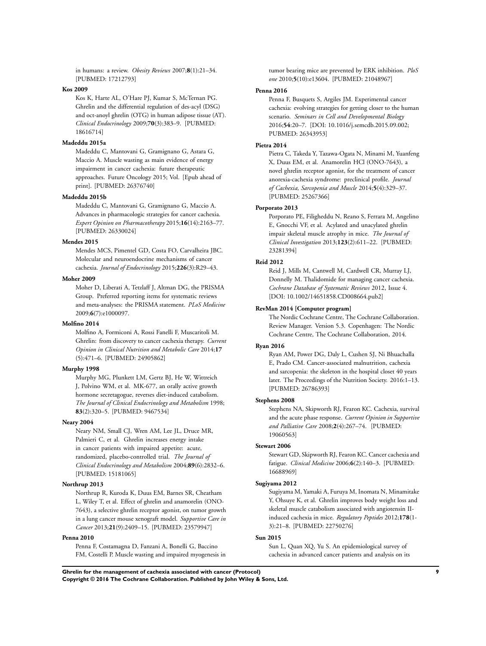in humans: a review. *Obesity Reviews* 2007;**8**(1):21–34. [PUBMED: 17212793]

#### **Kos 2009**

Kos K, Harte AL, O'Hare PJ, Kumar S, McTernan PG. Ghrelin and the differential regulation of des-acyl (DSG) and oct-anoyl ghrelin (OTG) in human adipose tissue (AT). *Clinical Endocrinology* 2009;**70**(3):383–9. [PUBMED: 18616714]

## **Madeddu 2015a**

Madeddu C, Mantovani G, Gramignano G, Astara G, Maccio A. Muscle wasting as main evidence of energy impairment in cancer cachexia: future therapeutic approaches. Future Oncology 2015; Vol. [Epub ahead of print]. [PUBMED: 26376740]

#### **Madeddu 2015b**

Madeddu C, Mantovani G, Gramignano G, Maccio A. Advances in pharmacologic strategies for cancer cachexia. *Expert Opinion on Pharmacotherapy* 2015;**16**(14):2163–77. [PUBMED: 26330024]

#### **Mendes 2015**

Mendes MCS, Pimentel GD, Costa FO, Carvalheira JBC. Molecular and neuroendocrine mechanisms of cancer cachexia. *Journal of Endocrinology* 2015;**226**(3):R29–43.

#### **Moher 2009**

Moher D, Liberati A, Tetzlaff J, Altman DG, the PRISMA Group. Preferred reporting items for systematic reviews and meta-analyses: the PRISMA statement. *PLoS Medicine* 2009;**6**(7):e1000097.

#### **Molfino 2014**

Molfino A, Formiconi A, Rossi Fanelli F, Muscaritoli M. Ghrelin: from discovery to cancer cachexia therapy. *Current Opinion in Clinical Nutrition and Metabolic Care* 2014;**17** (5):471–6. [PUBMED: 24905862]

## **Murphy 1998**

Murphy MG, Plunkett LM, Gertz BJ, He W, Wittreich J, Polvino WM, et al. MK-677, an orally active growth hormone secretagogue, reverses diet-induced catabolism. *The Journal of Clinical Endocrinology and Metabolism* 1998; **83**(2):320–5. [PUBMED: 9467534]

#### **Neary 2004**

Neary NM, Small CJ, Wren AM, Lee JL, Druce MR, Palmieri C, et al. Ghrelin increases energy intake in cancer patients with impaired appetite: acute, randomized, placebo-controlled trial. *The Journal of Clinical Endocrinology and Metabolism* 2004;**89**(6):2832–6. [PUBMED: 15181065]

## **Northrup 2013**

Northrup R, Kuroda K, Duus EM, Barnes SR, Cheatham L, Wiley T, et al. Effect of ghrelin and anamorelin (ONO-7643), a selective ghrelin receptor agonist, on tumor growth in a lung cancer mouse xenograft model. *Supportive Care in Cancer* 2013;**21**(9):2409–15. [PUBMED: 23579947]

## **Penna 2010**

Penna F, Costamagna D, Fanzani A, Bonelli G, Baccino FM, Costelli P. Muscle wasting and impaired myogenesis in tumor bearing mice are prevented by ERK inhibition. *PloS one* 2010;**5**(10):e13604. [PUBMED: 21048967]

#### **Penna 2016**

Penna F, Busquets S, Argiles JM. Experimental cancer cachexia: evolving strategies for getting closer to the human scenario. *Seminars in Cell and Developmental Biology* 2016;**54**:20–7. [DOI: 10.1016/j.semcdb.2015.09.002; PUBMED: 26343953]

#### **Pietra 2014**

Pietra C, Takeda Y, Tazawa-Ogata N, Minami M, Yuanfeng X, Duus EM, et al. Anamorelin HCl (ONO-7643), a novel ghrelin receptor agonist, for the treatment of cancer anorexia-cachexia syndrome: preclinical profile. *Journal of Cachexia, Sarcopenia and Muscle* 2014;**5**(4):329–37. [PUBMED: 25267366]

#### **Porporato 2013**

Porporato PE, Filigheddu N, Reano S, Ferrara M, Angelino E, Gnocchi VF, et al. Acylated and unacylated ghrelin impair skeletal muscle atrophy in mice. *The Journal of Clinical Investigation* 2013;**123**(2):611–22. [PUBMED: 23281394]

#### **Reid 2012**

Reid J, Mills M, Cantwell M, Cardwell CR, Murray LJ, Donnelly M. Thalidomide for managing cancer cachexia. *Cochrane Database of Systematic Reviews* 2012, Issue 4. [DOI: 10.1002/14651858.CD008664.pub2]

#### **RevMan 2014 [Computer program]**

The Nordic Cochrane Centre, The Cochrane Collaboration. Review Manager. Version 5.3. Copenhagen: The Nordic Cochrane Centre, The Cochrane Collaboration, 2014.

## **Ryan 2016**

Ryan AM, Power DG, Daly L, Cushen SJ, Ni Bhuachalla E, Prado CM. Cancer-associated malnutrition, cachexia and sarcopenia: the skeleton in the hospital closet 40 years later. The Proceedings of the Nutrition Society. 2016:1–13. [PUBMED: 26786393]

#### **Stephens 2008**

Stephens NA, Skipworth RJ, Fearon KC. Cachexia, survival and the acute phase response. *Current Opinion in Supportive and Palliative Care* 2008;**2**(4):267–74. [PUBMED: 19060563]

#### **Stewart 2006**

Stewart GD, Skipworth RJ, Fearon KC. Cancer cachexia and fatigue. *Clinical Medicine* 2006;**6**(2):140–3. [PUBMED: 16688969]

#### **Sugiyama 2012**

Sugiyama M, Yamaki A, Furuya M, Inomata N, Minamitake Y, Ohsuye K, et al. Ghrelin improves body weight loss and skeletal muscle catabolism associated with angiotensin IIinduced cachexia in mice. *Regulatory Peptides* 2012;**178**(1- 3):21–8. [PUBMED: 22750276]

## **Sun 2015**

Sun L, Quan XQ, Yu S. An epidemiological survey of cachexia in advanced cancer patients and analysis on its

**Ghrelin for the management of cachexia associated with cancer (Protocol) 9 Copyright © 2016 The Cochrane Collaboration. Published by John Wiley & Sons, Ltd.**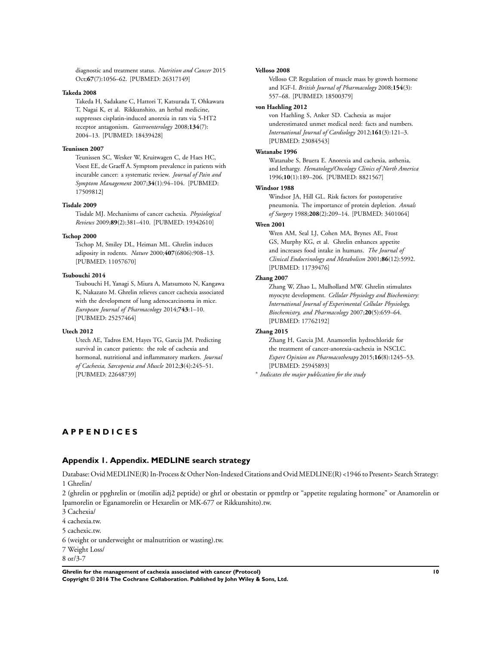<span id="page-12-0"></span>diagnostic and treatment status. *Nutrition and Cancer* 2015 Oct;**67**(7):1056–62. [PUBMED: 26317149]

## **Takeda 2008**

Takeda H, Sadakane C, Hattori T, Katsurada T, Ohkawara T, Nagai K, et al. Rikkunshito, an herbal medicine, suppresses cisplatin-induced anorexia in rats via 5-HT2 receptor antagonism. *Gastroenterology* 2008;**134**(7): 2004–13. [PUBMED: 18439428]

## **Teunissen 2007**

Teunissen SC, Wesker W, Kruitwagen C, de Haes HC, Voest EE, de Graeff A. Symptom prevalence in patients with incurable cancer: a systematic review. *Journal of Pain and Symptom Management* 2007;**34**(1):94–104. [PUBMED: 17509812]

#### **Tisdale 2009**

Tisdale MJ. Mechanisms of cancer cachexia. *Physiological Reviews* 2009;**89**(2):381–410. [PUBMED: 19342610]

#### **Tschop 2000**

Tschop M, Smiley DL, Heiman ML. Ghrelin induces adiposity in rodents. *Nature* 2000;**407**(6806):908–13. [PUBMED: 11057670]

#### **Tsubouchi 2014**

Tsubouchi H, Yanagi S, Miura A, Matsumoto N, Kangawa K, Nakazato M. Ghrelin relieves cancer cachexia associated with the development of lung adenocarcinoma in mice. *European Journal of Pharmacology* 2014;**743**:1–10. [PUBMED: 25257464]

#### **Utech 2012**

Utech AE, Tadros EM, Hayes TG, Garcia JM. Predicting survival in cancer patients: the role of cachexia and hormonal, nutritional and inflammatory markers. *Journal of Cachexia, Sarcopenia and Muscle* 2012;**3**(4):245–51. [PUBMED: 22648739]

#### **Velloso 2008**

Velloso CP. Regulation of muscle mass by growth hormone and IGF-I. *British Journal of Pharmacology* 2008;**154**(3): 557–68. [PUBMED: 18500379]

#### **von Haehling 2012**

von Haehling S, Anker SD. Cachexia as major underestimated unmet medical need: facts and numbers. *International Journal of Cardiology* 2012;**161**(3):121–3. [PUBMED: 23084543]

## **Watanabe 1996**

Watanabe S, Bruera E. Anorexia and cachexia, asthenia, and lethargy. *Hematology/Oncology Clinics of North America* 1996;**10**(1):189–206. [PUBMED: 8821567]

## **Windsor 1988**

Windsor JA, Hill GL. Risk factors for postoperative pneumonia. The importance of protein depletion. *Annals of Surgery* 1988;**208**(2):209–14. [PUBMED: 3401064]

#### **Wren 2001**

Wren AM, Seal LJ, Cohen MA, Brynes AE, Frost GS, Murphy KG, et al. Ghrelin enhances appetite and increases food intake in humans. *The Journal of Clinical Endocrinology and Metabolism* 2001;**86**(12):5992. [PUBMED: 11739476]

#### **Zhang 2007**

Zhang W, Zhao L, Mulholland MW. Ghrelin stimulates myocyte development. *Cellular Physiology and Biochemistry: International Journal of Experimental Cellular Physiology, Biochemistry, and Pharmacology* 2007;**20**(5):659–64. [PUBMED: 17762192]

## **Zhang 2015**

Zhang H, Garcia JM. Anamorelin hydrochloride for the treatment of cancer-anorexia-cachexia in NSCLC. *Expert Opinion on Pharmacotherapy* 2015;**16**(8):1245–53. [PUBMED: 25945893]

∗ *Indicates the major publication for the study*

# **A P P E N D I C E S**

## **Appendix 1. Appendix. MEDLINE search strategy**

Database: Ovid MEDLINE(R) In-Process & Other Non-Indexed Citations and Ovid MEDLINE(R) <1946 to Present> Search Strategy: 1 Ghrelin/

2 (ghrelin or ppghrelin or (motilin adj2 peptide) or ghrl or obestatin or ppmtlrp or "appetite regulating hormone" or Anamorelin or Ipamorelin or Eganamorelin or Hexarelin or MK-677 or Rikkunshito).tw.

3 Cachexia/

4 cachexia.tw.

5 cachexic.tw.

6 (weight or underweight or malnutrition or wasting).tw.

7 Weight Loss/

8 or/3-7

**Ghrelin for the management of cachexia associated with cancer (Protocol) 10 Copyright © 2016 The Cochrane Collaboration. Published by John Wiley & Sons, Ltd.**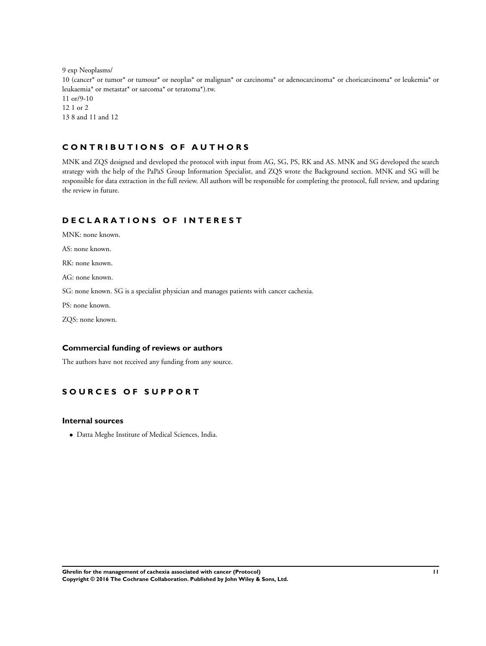9 exp Neoplasms/ 10 (cancer\* or tumor\* or tumour\* or neoplas\* or malignan\* or carcinoma\* or adenocarcinoma\* or choricarcinoma\* or leukemia\* or leukaemia\* or metastat\* or sarcoma\* or teratoma\*).tw. 11 or/9-10 12 1 or 2 13 8 and 11 and 12

# **C O N T R I B U T I O N S O F A U T H O R S**

MNK and ZQS designed and developed the protocol with input from AG, SG, PS, RK and AS. MNK and SG developed the search strategy with the help of the PaPaS Group Information Specialist, and ZQS wrote the Background section. MNK and SG will be responsible for data extraction in the full review. All authors will be responsible for completing the protocol, full review, and updating the review in future.

# **D E C L A R A T I O N S O F I N T E R E S T**

MNK: none known. AS: none known. RK: none known. AG: none known. SG: none known. SG is a specialist physician and manages patients with cancer cachexia. PS: none known. ZQS: none known.

# **Commercial funding of reviews or authors**

The authors have not received any funding from any source.

# **S O U R C E S O F S U P P O R T**

## **Internal sources**

• Datta Meghe Institute of Medical Sciences, India.